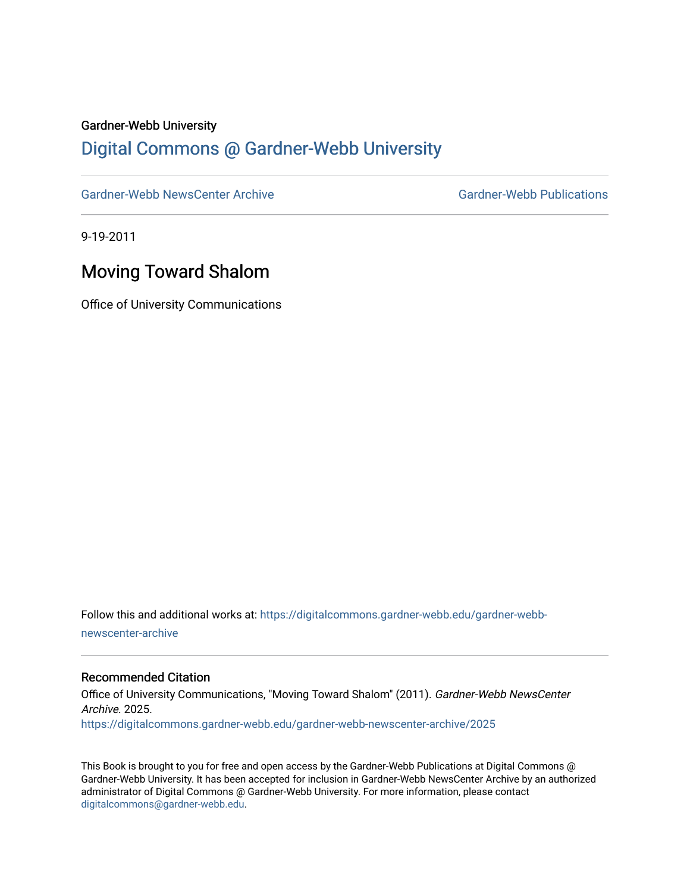#### Gardner-Webb University

### [Digital Commons @ Gardner-Webb University](https://digitalcommons.gardner-webb.edu/)

[Gardner-Webb NewsCenter Archive](https://digitalcommons.gardner-webb.edu/gardner-webb-newscenter-archive) Gardner-Webb Publications

9-19-2011

## Moving Toward Shalom

Office of University Communications

Follow this and additional works at: [https://digitalcommons.gardner-webb.edu/gardner-webb](https://digitalcommons.gardner-webb.edu/gardner-webb-newscenter-archive?utm_source=digitalcommons.gardner-webb.edu%2Fgardner-webb-newscenter-archive%2F2025&utm_medium=PDF&utm_campaign=PDFCoverPages)[newscenter-archive](https://digitalcommons.gardner-webb.edu/gardner-webb-newscenter-archive?utm_source=digitalcommons.gardner-webb.edu%2Fgardner-webb-newscenter-archive%2F2025&utm_medium=PDF&utm_campaign=PDFCoverPages)

#### Recommended Citation

Office of University Communications, "Moving Toward Shalom" (2011). Gardner-Webb NewsCenter Archive. 2025. [https://digitalcommons.gardner-webb.edu/gardner-webb-newscenter-archive/2025](https://digitalcommons.gardner-webb.edu/gardner-webb-newscenter-archive/2025?utm_source=digitalcommons.gardner-webb.edu%2Fgardner-webb-newscenter-archive%2F2025&utm_medium=PDF&utm_campaign=PDFCoverPages) 

This Book is brought to you for free and open access by the Gardner-Webb Publications at Digital Commons @ Gardner-Webb University. It has been accepted for inclusion in Gardner-Webb NewsCenter Archive by an authorized administrator of Digital Commons @ Gardner-Webb University. For more information, please contact [digitalcommons@gardner-webb.edu](mailto:digitalcommons@gardner-webb.edu).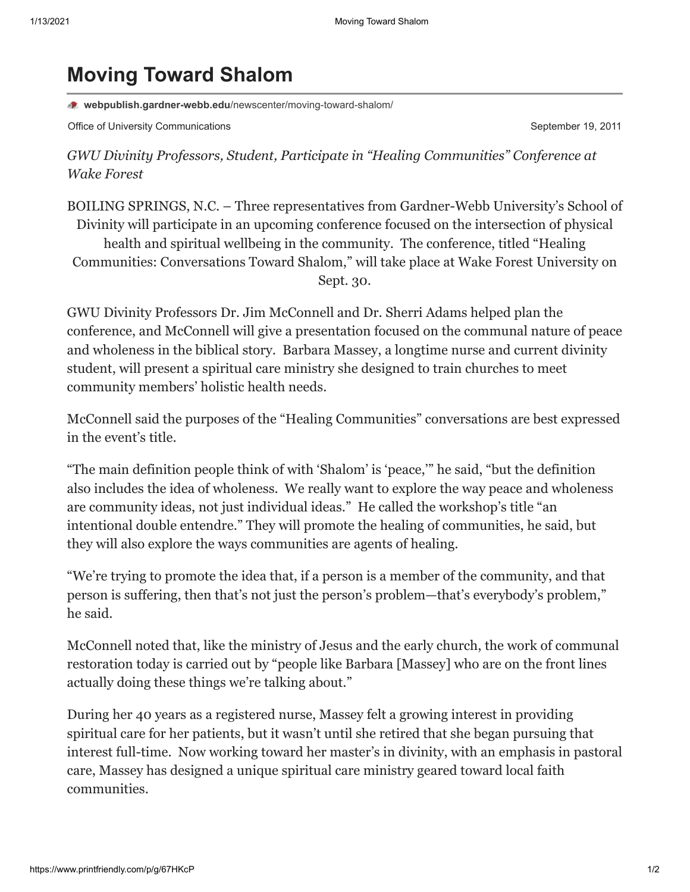# **Moving Toward Shalom**

**webpublish.gardner-webb.edu**[/newscenter/moving-toward-shalom/](https://webpublish.gardner-webb.edu/newscenter/moving-toward-shalom/)

Office of University Communications **September 19, 2011** September 19, 2011

*GWU Divinity Professors, Student, Participate in "Healing Communities" Conference at Wake Forest*

BOILING SPRINGS, N.C. – Three representatives from Gardner-Webb University's School of Divinity will participate in an upcoming conference focused on the intersection of physical health and spiritual wellbeing in the community. The conference, titled "Healing Communities: Conversations Toward Shalom," will take place at Wake Forest University on Sept. 30.

GWU Divinity Professors Dr. Jim McConnell and Dr. Sherri Adams helped plan the conference, and McConnell will give a presentation focused on the communal nature of peace and wholeness in the biblical story. Barbara Massey, a longtime nurse and current divinity student, will present a spiritual care ministry she designed to train churches to meet community members' holistic health needs.

McConnell said the purposes of the "Healing Communities" conversations are best expressed in the event's title.

"The main definition people think of with 'Shalom' is 'peace,'" he said, "but the definition also includes the idea of wholeness. We really want to explore the way peace and wholeness are community ideas, not just individual ideas." He called the workshop's title "an intentional double entendre." They will promote the healing of communities, he said, but they will also explore the ways communities are agents of healing.

"We're trying to promote the idea that, if a person is a member of the community, and that person is suffering, then that's not just the person's problem—that's everybody's problem," he said.

McConnell noted that, like the ministry of Jesus and the early church, the work of communal restoration today is carried out by "people like Barbara [Massey] who are on the front lines actually doing these things we're talking about."

During her 40 years as a registered nurse, Massey felt a growing interest in providing spiritual care for her patients, but it wasn't until she retired that she began pursuing that interest full-time. Now working toward her master's in divinity, with an emphasis in pastoral care, Massey has designed a unique spiritual care ministry geared toward local faith communities.